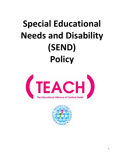# **Special Educational Needs and Disability (SEND) Policy**



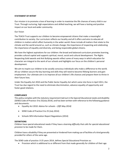# **STATEMENT OF INTENT**

Our mission is to promote a love of learning in order to maximise the life chances of every child in our Trust. Through nurturing, high expectations and skilled teaching, we will have a lasting and positive impact on our local and wider community.

# Our Vision

The TEACH Trust supports our children to become empowered citizens that make a meaningful contribution to society. Our curriculum reflects our locality and all it offers and aims to educate all children in matters which affect humanity in the wider world: these include all matters that relate to the climate and the world around us, such as climate change; the importance of respecting and celebrating the importance of equality and diversity; and being responsible global citizens.

We have the highest aspirations for our children: the broad and balanced curriculum promotes learning, provides cultural capital and supports spiritual, moral, social and cultural development. The Rights Respecting Gold awards and Anti Bullying awards reflect some of many ways in which education for character are integral to the work of our schools and highlights our focus on the children's personal development.

We aim to inspire our children to be socially conscious individuals who make a difference to the world. All our children secure the key learning and skills they will need to become lifelong learners and gain employment. Our ultimate aim is to improve all our children's life chances and prepare them to thrive in their future lives.

Under the Equality Act 2010 and the Public Sector Equality Act which came into force in April 2011, the Trust has due regard to the need to eliminate discrimination, advance equality of opportunity and foster good relations.

# **COMPLIANCE**

This policy complies with the statutory requirement laid out in the Special Educational needs and disability (SEND) Code of Practice: 0 to 25*(July 2014)*, and has been written with reference to the following guidance and documents:

- Equality Act 2010: Advice for schools *(DfE May 2014)*
- SEND Code of Practice 0 to 25 (July 2014)
- Schools SEN Information Report Regulations (2014)

#### **DEFINITIONS**

Children have special educational needs if they have a *learning difficulty* that calls for *special educational provision* to be made for them.

Children have a disability if they are prevented or hindered from making use of facilities of a kind generally provided for others of the same age.

The SEND code of practice: 0-25 years 2014, defines Special Educational Provision as:

• Provision which is additional to or different from that made generally for children of their age.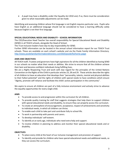• A pupil may have a disability under the Equality Act 2010 and, if so, there must be consideration given to what reasonable adjustments can be made.

Identifying and assessing children whose first language is not English requires particular care. Pupils who have English as an additional language should not be considered to have a learning difficulty solely because English is not their first language.

# **SPECIAL EDUCATIONAL NEEDS AND DISABILITY – SCHOOL INFORMATION**

The CEO/Executive Head Teacher has overall responsibility for Special Educational Needs and Disability (SEND) in all TEACH schools, alongside the Head of School.

The Trust Inclusion leaders have day-to-day responsibility for SEND.

Further SEND information can be located in the annual school information report for our TEACH Trust schools. These are available on each school's website and via the Poole Family Information Directory. <http://www.poolefamilyinformationdirectory.com/kb5/poole/fis/home.page>

#### **AIMS AND OBJECTIVES**

All TEACH staff, Trustees and governors have high aspirations for all the children identified as having SEND in our schools no matter what their needs or abilities. We strive to ensure that all the children achieve their best and become confident individuals living fulfilling lives.

We are a Rights Respecting Trust and work with due regard for the principles of the United Nations Convention on the Rights of the Child in particular articles 23, 28 and 29. These articles describe the rights of all children to have an education that develops their "personality, talents, mental and physical abilities to their fullest potential" and the rights of children with special needs to have conditions which ensure "dignity, promote self-reliance and facilitate the child's active participation in the community".

We aspire to ensure all children are part of a fully inclusive environment and actively strive to advance the equality opportunities for every single child.

# **AIMS**

- To provide access to and progression within the curriculum for all children.
- To provide quality training for staff that suggests strategies that help them to support children with special educational needs and disability, to ensure they can properly access the curriculum.
- To create an atmosphere of encouragement, acceptance, respect of achievements and sensitivity to individual needs, in which all children can thrive.
- To enable each child to take part and contribute fully to school life.
- To work in partnership with parents and carers.
- To develop individuals' self-esteem.
- To identify at an early age, individuals who need extra help and support.
- To involve children in planning to address and monitor their special educational needs and or disability.

#### **OBJECTIVES**

- To place every child at the heart of our inclusive management and provision of support.
- To identify and provide for children who have special educational needs and additional needs, so they can access the curriculum.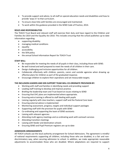- To provide support and advice, to all staff on special education needs and disabilities and how to provide 'ways in' to that curriculum.
- To ensure close links with families are encouraged and maintained.
- To work within the guidance provided in the SEND Code of Practice, 2014.

#### **ROLES AND RESPONSIBILITIES**

The TEACH Trust Board and relevant staff will exercise their duty and have regard to the Children and Families Act 2014 and the Equality Act 2010. This includes ensuring that the school publishes up to date information regarding:

- supporting disability
- managing medical conditions
- equality
- accessibility
- the SEN policy
- the annual School Information Report for TEACH Trust

#### **STAFF WILL:**

- Be responsible for meeting the needs of all pupils in their class, including those with SEND.
- Be well trained and well prepared to meet the needs of all children in their care.
- Design challenging and inclusive opportunities for all children.
- Collaborate effectively with children, parents, carers and outside agencies when drawing up effective plans for children as part of the graduated response.
- Encourage children to explore their aspirations and set measurable targets.

#### **THE INCLUSION LEADERS AND SEN SUPPORT TEAM WILL CO-ORDINATE PROVISION BY:**

- Working with staff and families in identifying needs and providing support
- Leading staff training to develop and improve practice.
- Briefing the leadership team and Trust board on issues relating to SEND
- Ensuring that EHC plans are implemented where appropriate.
- Ensuring extra training is offered to staff dealing with pupils
- Liaising regularly with class teachers, support staff and the Pastoral Care team
- Ensuring external advice is implemented
- Monitoring assessment, progress, targets and individual support packages
- Supporting staff with the provision for pupils with SEND
- Co-ordinating and supporting the team of SEND assistants
- Liaising with relevant agencies
- Attending multi agency meetings and co-ordinating work with outreach services
- Attending transition meetings
- Liaising with feeder and destination schools
- Ensuring SEND and Pupil Premium registers are up to date

#### **ADMISSION ARRANGEMENTS**

All TEACH schools use the local authority arrangement for School Admissions. The agreement is mindful of national requirements supporting all children, including those who are disabled, in a fair and nondiscriminatory way, when securing admission to school. In addition, we make appropriate reasonable adjustments to accommodate those who are disabled. Where adaptations are required to support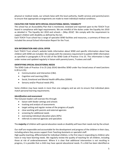physical or medical needs, our schools liaise with the local authority, health services and parents/carers to ensure that appropriate arrangements are made to meet individual medical conditions.

# **FACILITIES FOR THOSE WITH SPECIAL EDUCATIONAL NEEDS / DISABILITY**

The school has an Accessibility Plan that is monitored, reviewed and reported upon to the TEACH Trust board in compliance with legal requirements. We are mindful of the duties under the Equality Act 2010 as detailed in 'The Equality Act 2010 and schools – *(May 2014)*'. We comply with the requirement to support children with disability as defined by the Act.

Each TEACH Trust school has a range of specialist SEND facilities and resources, a summary of these are included the annual School Information Report for the Trust.

#### **SEN INFORMATION AND LOCAL OFFER**

Each TEACH Trust school's website holds information about SEND and specific information about how children with SEND are included. We comply with the statutory requirement to publish SEND information as specified in paragraphs 6.79 to 6.83 of the SEND Code of Practice: 0 to 25. This information is kept under review and updated regularly in liaison with parents/carers, Trustees and staff.

#### **IDENTIFYING SPECIAL EDUCATIONAL NEEDS**

The SEND Code of Practice: 0 to 25 *(July 2014)* identifies SEND under four broad areas of need (sections 6.28 to 6.35):

- Communication and Interaction (C&I).
- Cognition and Learning (C&L).
- Social, Emotional and Mental Health difficulties (SEMH).
- Sensory and/or Physical needs (PD).

Some children may have needs in more than one category and we aim to ensure that individual plans match personal learning requirements.

#### *Identification and assessment*

The Inclusion leaders will oversee this through:

- liaison with feeder settings and schools
- tracking and analysis of assessments
- target setting and regular review of the progress of pupils
- close working with parents and external agencies
- screening for additional needs
- overseeing individual education plans (IEPs)
- referrals to external agencies and specialists

The **majority** of children with special education needs or disability will have their needs met by the school.

Our staff are responsible and accountable for the development and progress of the children in their class, including where they access support from Teaching Assistants or specialist staff.

High quality teaching, differentiated for individual children, is the first step in responding to children who have or may have learning needs. We regularly review the quality of teaching for all children, including those at risk of underachievement. Where it is clear that additional intervention is not resulting in progress, it is possible that a child may have special educational needs. If a child has been identified as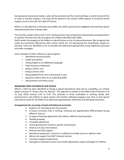having special educational needs, a plan will be actioned and the school will keep a careful record of this in order to monitor progress. The pupil will be placed on the school's SEND register at Universal School Support Level in line with the Code of Practice.

Where it is decided that a child does have SEND, the child's parents/carers **must** be informed that special educational provision is being made.

The Inclusion Leaders will use the Trust's tracking system and comparative national data and expectations to monitor the level and rate of progress for children identified with SEND.

Staff monitor the progress of all children to identify those at risk of underachievement. We recognise that needs are sometimes affected by other factors which are not educational but nevertheless impact on learning. These are identified as far as possible and addressed appropriately using additional processes and other strategies.

Some examples of other influences upon progress:

- attendance and punctuality
- health and welfare
- having English as an Additional Language
- Pupil Premium entitlement
- being a child in care
- being a Service child
- being adopted from care or previously in care
- behaviour where there is no underlying SEND
- bereavement and family issues

#### **MANAGING SEND CHILDREN IN OUR SCHOOL**

Where a child has been identified as having a special educational need and or a disability, our schools adopt a process of "Assess, Plan, Do, Review". This approach is evident in the SEND Code of Practice: 0 to 25 *(July 2014)* sections 6.45 to 6.56. This principle is firmly embedded in working closely with parents/carers and children to agree actions and monitor individual progress over time so that special educational needs for all children are addressed appropriately, effectively and with good outcomes.

#### *Arrangements for accessing a broad and balanced curriculum*

- Quality First Teaching by the class teacher
- A broad curriculum that is exciting, involving and appropriately differentiated having different 'ways in'.
- A range of teaching approaches that address different learning styles
- Flexible grouping
- Timetable adjustment
- Teaching Assistants trained in specific interventions
- Small out of class interventions
- Pastoral and ELSA support
- Specialised equipment, resources or software to enable access or address need
- Advice and support from BCP Outreach Service
- Transition support programmes
- Interagency working to ensure we provide appropriate support packages for children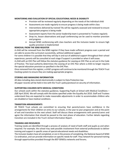## **MONITORING AND EVALUATION OF SPECIAL EDUCATIONAL NEEDS & DISABILITY**

- Provision will be reviewed regularly depending on the needs of the individual child
- Assessments are made regularly to ensure progress is being made within class
- Interventions delivered by trained TAs will be regularly assessed and reviewed to ensure appropriate progress is being made
- Assessment reports from the senior leadership team is presented to Trustees regularly
- Drop ins, lesson observations and pupil conferencing can be used to monitor provision and progress
- Annual SEND conferencing with class teachers and the Inclusion leader to ensure high quality provision is implemented

# **REMOVAL FROM THE SEND REGISTER**

A child will be removed from the SEND register if they have made sufficient progress over a period and are able to access the curriculum successfully, without additional support.

For some children it is possible that they will dip in and out of additional support throughout their school experience; parents will be consulted at each stage if support is provided or when it will cease.

A child with an EHC Plan will follow the statutory guidance for ceasing an EHC Plan as set out in the Code of Practice. The local authority determines the ceasing of an EHC Plan where a child no longer requires the special education provision as specified in the EHC Plan.

Once removed from the register, a child's progress will continue to be monitored through the TEACH Trust tracking system to ensure they are making appropriate progress.

#### **STORING AND MANAGING INFORMATION**

All data including data stored electronically is subject to Data Protection law. All paper records will be held in line with the Trust's policy/protocol on security of information.

#### **SUPPORTING CHILDREN WITH MEDICAL CONDITIONS**

Our schools work within the statutory guidance, Supporting Pupils at School with Medical Conditions – *(DfE April 2014).* We will comply with the duties specified under the Equality Act 2010. Staff and Trustees understand they are expected to make reasonable adjustments in order to accommodate children who are disabled or have medical conditions.

## **TRANSITION ARRANGEMENTS**

All TEACH Trust schools are committed to ensuring that parents/carers have confidence in the arrangements for their children on entry to our schools, in the year to year progression and at the point of exit and transition to the next school. Staff will discuss these arrangements with parents/carers and agree the information that should be passed to the next phase of education. Further details regarding transition are included in the Trust's School Information Report.

#### **TRAINING AND RESOURCES**

Training needs are identified through a process of analysis of need of both staff and pupils as and when required. For example, the school may seek possible involvement from external professionals to deliver training and support in specific areas of special educational needs and disabilities.

The Inclusion leaders have all completed, or are in the process of completing, the National Award of SEND Co-ordination, and can provide information on specific needs for staff. They network for personal training through opportunities provided through the BCP SENDCo networks and forums.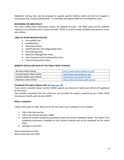Additional training may also be arranged to support specific medical needs and will be arranged in conjunction with medical professionals. For example, training provided from the diabetes nurse.

#### **REVIEWING THE SEND POLICY**

The Trust's SEND school information reports are updated annually. THE SEND policy will be reviewed regularly in co-ordination with Trustees and staff. TEACH Trust will consider feedback from parents, carers and children.

#### **LINKS TO OTHER RELATED POLICIES**

- Accessibility Plan
- Equality Policy
- Attendance Policy
- Child Protection and Safeguarding Policy
- Anti-bullying Policy
- Behaviour Management Policy
- Data Protection and Confidentiality Policy
- Physical Intervention Policy

#### **WEBSITE DETAILS FOR EACH OF THE TEACH TRUST SCHOOLS**

| Ad Astra Infant School      | http://www.adastra.poole.sch.uk/ |
|-----------------------------|----------------------------------|
| Canford Heath Infant School | http://www.chis.poole.sch.uk/    |
| Canford Heath Junior School | http://www.chjs.poole.sch.uk/    |
| Haymoor Junior School       | http://www.haymoor.poole.sch.uk/ |

#### **Complaints Procedure (please refer to [www.gov.uk\)](http://www.gov.uk/)**

If you want to complain about a school's SEND support, you should do it while your child is still registered at the school.

This includes complaints that the school has not provided the support required by your child's SEND Educational, Health and Care plan (EHCP).

#### **Make a complaint**

Follow these steps in order. Move on to the next step if your complaint is not resolved.

- 1. Talk to the class teacher.
- 2. Talk to the school's Inclusion leader
- 3. Follow the school's complaints procedure as per the school's complaints policy. The TEACH Trust complaints procedure is available on each school's website and can be requested via the school office
- 4. Complain to the ESFA

Policy reviewed June 2021 Next review date June 2022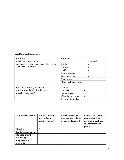# **Equality Impact Assessment**

| <b>VQuestion</b>                                                     | <b>Response</b>        |             |
|----------------------------------------------------------------------|------------------------|-------------|
| Which relevant groups and                                            |                        | Please tick |
| stakeholders have been consulted with in<br>relation to this policy? | Pupils                 | ν           |
|                                                                      | <b>Trustees</b>        | ν           |
|                                                                      | <b>Staff</b>           | V           |
|                                                                      | Parents/Carers         |             |
|                                                                      | Local Authority        | ν           |
|                                                                      | <b>Trade Unions</b>    |             |
|                                                                      | Other Advisors (give   |             |
|                                                                      | details)               |             |
| What are the arrangements for                                        | Termly                 |             |
| monitoring and reviewing the actual<br>impact of the policy?         | Annually               | v           |
|                                                                      | When applied           |             |
|                                                                      | If legislation changes | $\sqrt{ }$  |
|                                                                      | If a formal complaint  |             |

| <b>Characteristic Group</b> | Is there a potential<br>for positive or<br>negative impact? | Please explain and<br>give examples of any<br>evidence/data used | address<br><b>Action</b><br>to<br>potential positive/<br>negative impact (e.g.<br>adjustment to the<br>policy) |
|-----------------------------|-------------------------------------------------------------|------------------------------------------------------------------|----------------------------------------------------------------------------------------------------------------|
| <b>Disability</b>           | ν                                                           |                                                                  |                                                                                                                |
| <b>Gender reassignment</b>  |                                                             |                                                                  |                                                                                                                |
| <b>Marriage or civil</b>    |                                                             |                                                                  |                                                                                                                |
| partnership                 |                                                             |                                                                  |                                                                                                                |
| <b>Pregnancy and</b>        |                                                             |                                                                  |                                                                                                                |
| maternity                   |                                                             |                                                                  |                                                                                                                |